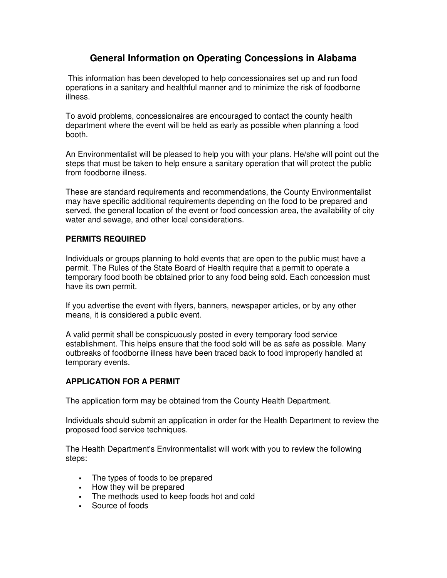# **General Information on Operating Concessions in Alabama**

This information has been developed to help concessionaires set up and run food operations in a sanitary and healthful manner and to minimize the risk of foodborne illness.

To avoid problems, concessionaires are encouraged to contact the county health department where the event will be held as early as possible when planning a food booth.

An Environmentalist will be pleased to help you with your plans. He/she will point out the steps that must be taken to help ensure a sanitary operation that will protect the public from foodborne illness.

These are standard requirements and recommendations, the County Environmentalist may have specific additional requirements depending on the food to be prepared and served, the general location of the event or food concession area, the availability of city water and sewage, and other local considerations.

# **PERMITS REQUIRED**

Individuals or groups planning to hold events that are open to the public must have a permit. The Rules of the State Board of Health require that a permit to operate a temporary food booth be obtained prior to any food being sold. Each concession must have its own permit.

If you advertise the event with flyers, banners, newspaper articles, or by any other means, it is considered a public event.

A valid permit shall be conspicuously posted in every temporary food service establishment. This helps ensure that the food sold will be as safe as possible. Many outbreaks of foodborne illness have been traced back to food improperly handled at temporary events.

#### **APPLICATION FOR A PERMIT**

The application form may be obtained from the County Health Department.

Individuals should submit an application in order for the Health Department to review the proposed food service techniques.

The Health Department's Environmentalist will work with you to review the following steps:

- The types of foods to be prepared
- How they will be prepared
- The methods used to keep foods hot and cold
- Source of foods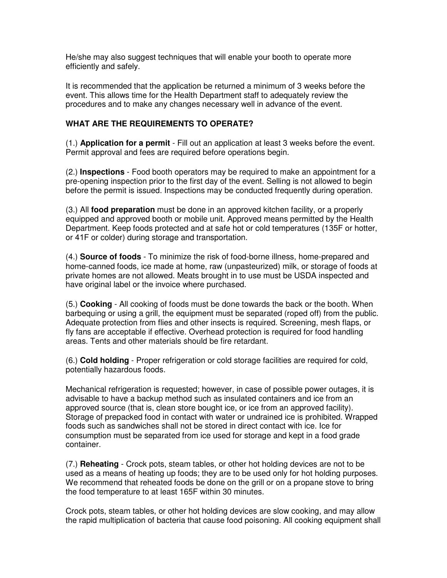He/she may also suggest techniques that will enable your booth to operate more efficiently and safely.

It is recommended that the application be returned a minimum of 3 weeks before the event. This allows time for the Health Department staff to adequately review the procedures and to make any changes necessary well in advance of the event.

#### **WHAT ARE THE REQUIREMENTS TO OPERATE?**

(1.) **Application for a permit** - Fill out an application at least 3 weeks before the event. Permit approval and fees are required before operations begin.

(2.) **Inspections** - Food booth operators may be required to make an appointment for a pre-opening inspection prior to the first day of the event. Selling is not allowed to begin before the permit is issued. Inspections may be conducted frequently during operation.

(3.) All **food preparation** must be done in an approved kitchen facility, or a properly equipped and approved booth or mobile unit. Approved means permitted by the Health Department. Keep foods protected and at safe hot or cold temperatures (135F or hotter, or 41F or colder) during storage and transportation.

(4.) **Source of foods** - To minimize the risk of food-borne illness, home-prepared and home-canned foods, ice made at home, raw (unpasteurized) milk, or storage of foods at private homes are not allowed. Meats brought in to use must be USDA inspected and have original label or the invoice where purchased.

(5.) **Cooking** - All cooking of foods must be done towards the back or the booth. When barbequing or using a grill, the equipment must be separated (roped off) from the public. Adequate protection from flies and other insects is required. Screening, mesh flaps, or fly fans are acceptable if effective. Overhead protection is required for food handling areas. Tents and other materials should be fire retardant.

(6.) **Cold holding** - Proper refrigeration or cold storage facilities are required for cold, potentially hazardous foods.

Mechanical refrigeration is requested; however, in case of possible power outages, it is advisable to have a backup method such as insulated containers and ice from an approved source (that is, clean store bought ice, or ice from an approved facility). Storage of prepacked food in contact with water or undrained ice is prohibited. Wrapped foods such as sandwiches shall not be stored in direct contact with ice. Ice for consumption must be separated from ice used for storage and kept in a food grade container.

(7.) **Reheating** - Crock pots, steam tables, or other hot holding devices are not to be used as a means of heating up foods; they are to be used only for hot holding purposes. We recommend that reheated foods be done on the grill or on a propane stove to bring the food temperature to at least 165F within 30 minutes.

Crock pots, steam tables, or other hot holding devices are slow cooking, and may allow the rapid multiplication of bacteria that cause food poisoning. All cooking equipment shall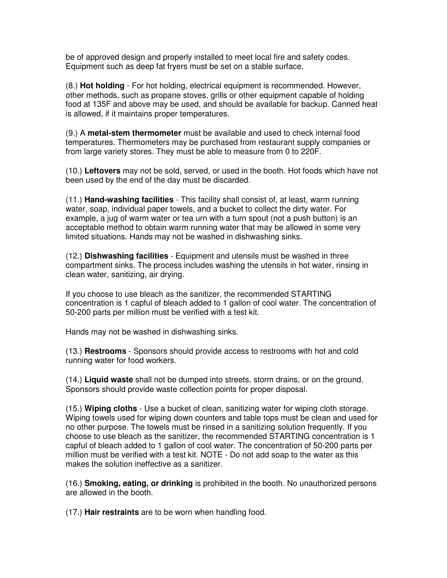be of approved design and properly installed to meet local fire and safety codes. Equipment such as deep fat fryers must be set on a stable surface.

(8.) **Hot holding** - For hot holding, electrical equipment is recommended. However, other methods, such as propane stoves, grills or other equipment capable of holding food at 135F and above may be used, and should be available for backup. Canned heat is allowed, if it maintains proper temperatures.

(9.) A **metal-stem thermometer** must be available and used to check internal food temperatures. Thermometers may be purchased from restaurant supply companies or from large variety stores. They must be able to measure from 0 to 220F.

(10.) **Leftovers** may not be sold, served, or used in the booth. Hot foods which have not been used by the end of the day must be discarded.

(11.) **Hand-washing facilities** - This facility shall consist of, at least, warm running water, soap, individual paper towels, and a bucket to collect the dirty water. For example, a jug of warm water or tea urn with a turn spout (not a push button) is an acceptable method to obtain warm running water that may be allowed in some very limited situations. Hands may not be washed in dishwashing sinks.

(12.) **Dishwashing facilities** - Equipment and utensils must be washed in three compartment sinks. The process includes washing the utensils in hot water, rinsing in clean water, sanitizing, air drying.

If you choose to use bleach as the sanitizer, the recommended STARTING concentration is 1 capful of bleach added to 1 gallon of cool water. The concentration of 50-200 parts per million must be verified with a test kit.

Hands may not be washed in dishwashing sinks.

(13.) **Restrooms** - Sponsors should provide access to restrooms with hot and cold running water for food workers.

(14.) **Liquid waste** shall not be dumped into streets, storm drains, or on the ground. Sponsors should provide waste collection points for proper disposal.

(15.) **Wiping cloths** - Use a bucket of clean, sanitizing water for wiping cloth storage. Wiping towels used for wiping down counters and table tops must be clean and used for no other purpose. The towels must be rinsed in a sanitizing solution frequently. If you choose to use bleach as the sanitizer, the recommended STARTING concentration is 1 capful of bleach added to 1 gallon of cool water. The concentration of 50-200 parts per million must be verified with a test kit. NOTE - Do not add soap to the water as this makes the solution ineffective as a sanitizer.

(16.) **Smoking, eating, or drinking** is prohibited in the booth. No unauthorized persons are allowed in the booth.

(17.) **Hair restraints** are to be worn when handling food.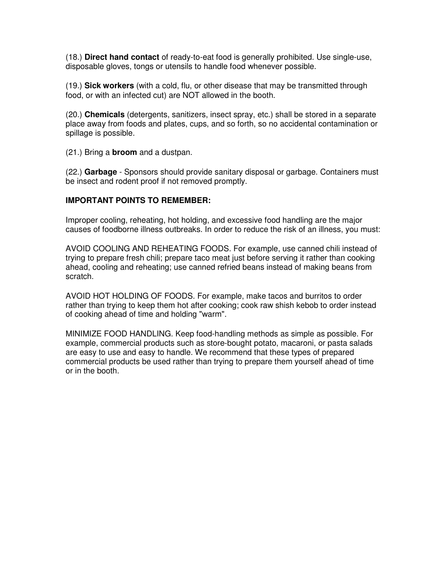(18.) **Direct hand contact** of ready-to-eat food is generally prohibited. Use single-use, disposable gloves, tongs or utensils to handle food whenever possible.

(19.) **Sick workers** (with a cold, flu, or other disease that may be transmitted through food, or with an infected cut) are NOT allowed in the booth.

(20.) **Chemicals** (detergents, sanitizers, insect spray, etc.) shall be stored in a separate place away from foods and plates, cups, and so forth, so no accidental contamination or spillage is possible.

(21.) Bring a **broom** and a dustpan.

(22.) **Garbage** - Sponsors should provide sanitary disposal or garbage. Containers must be insect and rodent proof if not removed promptly.

# **IMPORTANT POINTS TO REMEMBER:**

Improper cooling, reheating, hot holding, and excessive food handling are the major causes of foodborne illness outbreaks. In order to reduce the risk of an illness, you must:

AVOID COOLING AND REHEATING FOODS. For example, use canned chili instead of trying to prepare fresh chili; prepare taco meat just before serving it rather than cooking ahead, cooling and reheating; use canned refried beans instead of making beans from scratch.

AVOID HOT HOLDING OF FOODS. For example, make tacos and burritos to order rather than trying to keep them hot after cooking; cook raw shish kebob to order instead of cooking ahead of time and holding "warm".

MINIMIZE FOOD HANDLING. Keep food-handling methods as simple as possible. For example, commercial products such as store-bought potato, macaroni, or pasta salads are easy to use and easy to handle. We recommend that these types of prepared commercial products be used rather than trying to prepare them yourself ahead of time or in the booth.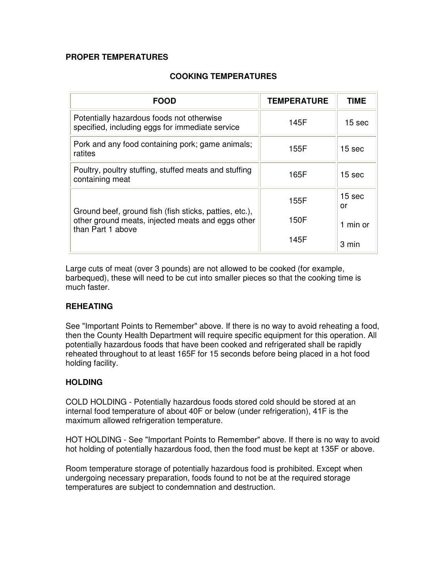#### **PROPER TEMPERATURES**

## **COOKING TEMPERATURES**

| <b>FOOD</b>                                                                                                                      | <b>TEMPERATURE</b> | TIME              |
|----------------------------------------------------------------------------------------------------------------------------------|--------------------|-------------------|
| Potentially hazardous foods not otherwise<br>specified, including eggs for immediate service                                     | 145F               | 15 <sub>sec</sub> |
| Pork and any food containing pork; game animals;<br>ratites                                                                      | 155F               | 15 sec            |
| Poultry, poultry stuffing, stuffed meats and stuffing<br>containing meat                                                         | 165F               | 15 <sub>sec</sub> |
| Ground beef, ground fish (fish sticks, patties, etc.),<br>other ground meats, injected meats and eggs other<br>than Part 1 above | 155F               | 15 sec<br>or      |
|                                                                                                                                  | 150F               | 1 min or          |
|                                                                                                                                  | 145F               | 3 min             |

Large cuts of meat (over 3 pounds) are not allowed to be cooked (for example, barbequed), these will need to be cut into smaller pieces so that the cooking time is much faster.

#### **REHEATING**

See "Important Points to Remember" above. If there is no way to avoid reheating a food, then the County Health Department will require specific equipment for this operation. All potentially hazardous foods that have been cooked and refrigerated shall be rapidly reheated throughout to at least 165F for 15 seconds before being placed in a hot food holding facility.

# **HOLDING**

COLD HOLDING - Potentially hazardous foods stored cold should be stored at an internal food temperature of about 40F or below (under refrigeration), 41F is the maximum allowed refrigeration temperature.

HOT HOLDING - See "Important Points to Remember" above. If there is no way to avoid hot holding of potentially hazardous food, then the food must be kept at 135F or above.

Room temperature storage of potentially hazardous food is prohibited. Except when undergoing necessary preparation, foods found to not be at the required storage temperatures are subject to condemnation and destruction.